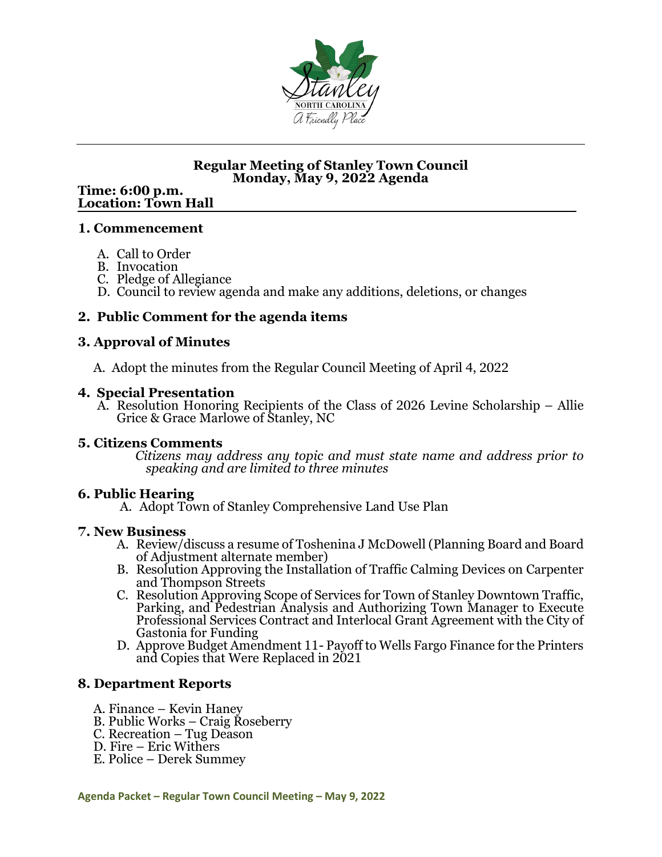

### **Regular Meeting of Stanley Town Council Monday, May 9, 2022 Agenda**

# **Time: 6:00 p.m. Location: Town Hall**

### **1. Commencement**

- A. Call to Order
- B. Invocation
- C. Pledge of Allegiance
- D. Council to review agenda and make any additions, deletions, or changes

### **2. Public Comment for the agenda items**

### **3. Approval of Minutes**

A. Adopt the minutes from the Regular Council Meeting of April 4, 2022

### **4. Special Presentation**

A. Resolution Honoring Recipients of the Class of 2026 Levine Scholarship – Allie Grice & Grace Marlowe of Stanley, NC<br>5. Citizens Comments

 $Citizens$  may address any topic and must state name and address prior to *speaking and are limited to three minutes*

### **6. Public Hearing**

A. Adopt Town of Stanley Comprehensive Land Use Plan

### **7. New Business**

- A. Review/discuss a resume of Toshenina J McDowell (Planning Board and Board of Adjustment alternate member)
- B. Resolution Approving the Installation of Traffic Calming Devices on Carpenter and Thompson Streets
- C. Resolution Approving Scope of Services for Town of Stanley Downtown Traffic, Parking, and Pedestrian Analysis and Authorizing Town Manager to Execute Professional Services Contract and Interlocal Grant Agreement with the City of Gastonia for Funding
- D. Approve Budget Amendment 11- Payoff to Wells Fargo Finance for the Printers and Copies that Were Replaced in 2021

### **8. Department Reports**

- 
- A. Finance Kevin Haney<br>B. Public Works Craig Roseberry<br>C. Recreation Tug Deason<br>D. Fire Eric Withers<br>E. Police Derek Summey
- 
- 
-